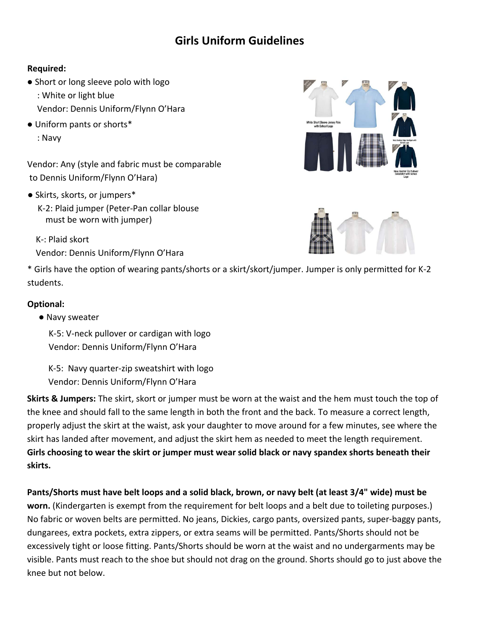# **Girls Uniform Guidelines**

#### **Required:**

- Short or long sleeve polo with logo <rñ: White or light blue Vendor: Dennis Uniform/Flynn O'Hara
- Uniform pants or shorts\* **¤ñ**Navy

Vendor: Any (style and fabric must be comparable to Dennis Uniform/Flynn O'Hara)

- Skirts, skorts, or jumpers\*
	- K-2: Plaid jumper (Peter-Pan collar blouse must be worn with jumper)

K-ñPlaid skort Vendor: Dennis Uniform/Flynn O'Hara





\* Girls have the option of wearing pants/shorts or a skirt/skort/jumper. Jumper is only permitted for K-2 students.

#### **Optional:**

● Navy sweater

K-5: V-neck pullover or cardigan with logo Vendor: Dennis Uniform/Flynn O'Hara

K-5: Navy quarter-zip sweatshirt with logo Vendor: Dennis Uniform/Flynn O'Hara

**Skirts & Jumpers:** The skirt, skort or jumper must be worn at the waist and the hem must touch the top of the knee and should fall to the same length in both the front and the back. To measure a correct length, properly adjust the skirt at the waist, ask your daughter to move around for a few minutes, see where the skirt has landed after movement, and adjust the skirt hem as needed to meet the length requirement. **Girls choosing to wear the skirt or jumper must wear solid black or navy spandex shorts beneath their skirts.** 

**Pants/Shorts must have belt loops and a solid black, brown, or navy belt (at least 3/4" wide) must be worn.** (Kindergarten is exempt from the requirement for belt loops and a belt due to toileting purposes.) No fabric or woven belts are permitted. No jeans, Dickies, cargo pants, oversized pants, super-baggy pants, dungarees, extra pockets, extra zippers, or extra seams will be permitted. Pants/Shorts should not be excessively tight or loose fitting. Pants/Shorts should be worn at the waist and no undergarments may be visible. Pants must reach to the shoe but should not drag on the ground. Shorts should go to just above the knee but not below.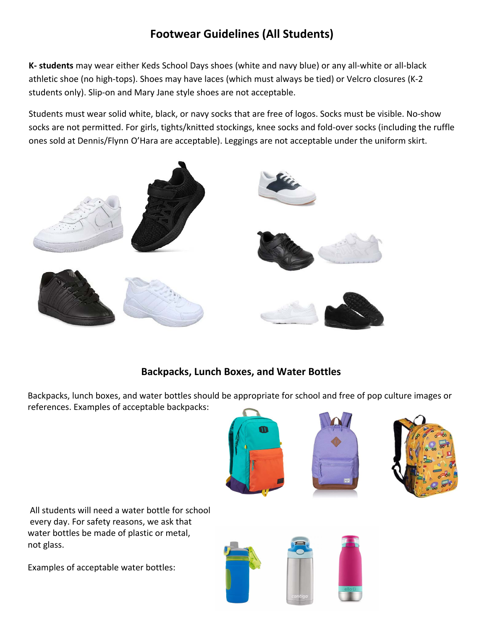# **Footwear Guidelines (All Students)**

**K- students** may wear either Keds School Days shoes (white and navy blue) or any all-white or all-black athletic shoe (no high-tops). Shoes may have laces (which must always be tied) or Velcro closures (K-2 students only). Slip-on and Mary Jane style shoes are not acceptable.

Students must wear solid white, black, or navy socks that are free of logos. Socks must be visible. No-show socks are not permitted. For girls, tights/knitted stockings, knee socks and fold-over socks (including the ruffle ones sold at Dennis/Flynn O'Hara are acceptable). Leggings are not acceptable under the uniform skirt.



### **Backpacks, Lunch Boxes, and Water Bottles**

Backpacks, lunch boxes, and water bottles should be appropriate for school and free of pop culture images or references. Examples of acceptable backpacks:







All students will need a water bottle for school every day. For safety reasons, we ask that water bottles be made of plastic or metal, not glass.

Examples of acceptable water bottles:

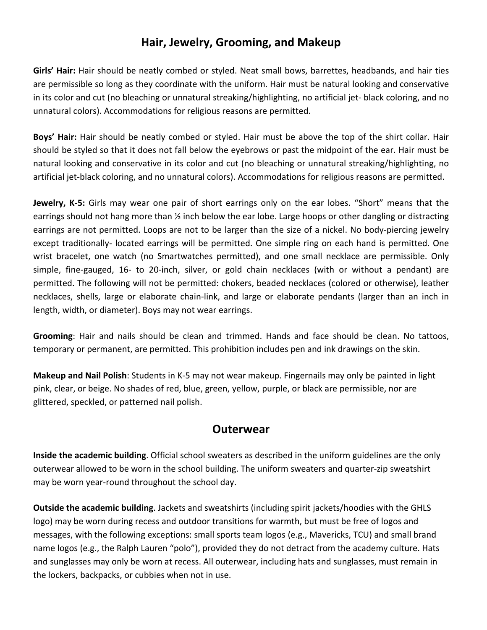### **Hair, Jewelry, Grooming, and Makeup**

**Girls' Hair:** Hair should be neatly combed or styled. Neat small bows, barrettes, headbands, and hair ties are permissible so long as they coordinate with the uniform. Hair must be natural looking and conservative in its color and cut (no bleaching or unnatural streaking/highlighting, no artificial jet- black coloring, and no unnatural colors). Accommodations for religious reasons are permitted.

**Boys' Hair:** Hair should be neatly combed or styled. Hair must be above the top of the shirt collar. Hair should be styled so that it does not fall below the eyebrows or past the midpoint of the ear. Hair must be natural looking and conservative in its color and cut (no bleaching or unnatural streaking/highlighting, no artificial jet-black coloring, and no unnatural colors). Accommodations for religious reasons are permitted.

**Jewelry, K-5:** Girls may wear one pair of short earrings only on the ear lobes. "Short" means that the earrings should not hang more than ½ inch below the ear lobe. Large hoops or other dangling or distracting earrings are not permitted. Loops are not to be larger than the size of a nickel. No body-piercing jewelry except traditionally- located earrings will be permitted. One simple ring on each hand is permitted. One wrist bracelet, one watch (no Smartwatches permitted), and one small necklace are permissible. Only simple, fine-gauged, 16- to 20-inch, silver, or gold chain necklaces (with or without a pendant) are permitted. The following will not be permitted: chokers, beaded necklaces (colored or otherwise), leather necklaces, shells, large or elaborate chain-link, and large or elaborate pendants (larger than an inch in length, width, or diameter). Boys may not wear earrings.

**Grooming**: Hair and nails should be clean and trimmed. Hands and face should be clean. No tattoos, temporary or permanent, are permitted. This prohibition includes pen and ink drawings on the skin.

**Makeup and Nail Polish**: Students in K-5 may not wear makeup. Fingernails may only be painted in light pink, clear, or beige. No shades of red, blue, green, yellow, purple, or black are permissible, nor are glittered, speckled, or patterned nail polish.

#### **Outerwear**

**Inside the academic building**. Official school sweaters as described in the uniform guidelines are the only outerwear allowed to be worn in the school building. The uniform sweaters and quarter-zip sweatshirt may be worn year-round throughout the school day.

**Outside the academic building**. Jackets and sweatshirts (including spirit jackets/hoodies with the GHLS logo) may be worn during recess and outdoor transitions for warmth, but must be free of logos and messages, with the following exceptions: small sports team logos (e.g., Mavericks, TCU) and small brand name logos (e.g., the Ralph Lauren "polo"), provided they do not detract from the academy culture. Hats and sunglasses may only be worn at recess. All outerwear, including hats and sunglasses, must remain in the lockers, backpacks, or cubbies when not in use.